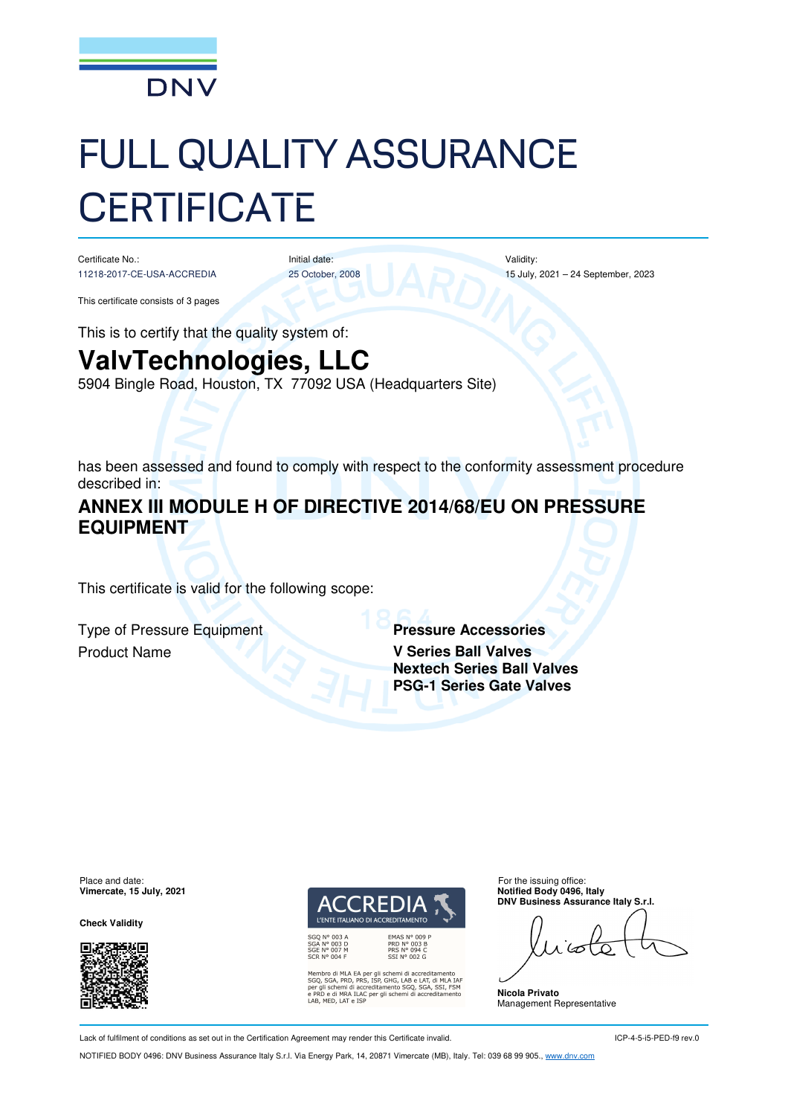

# FULL QUALITY ASSURANCE **CERTIFICATE**

Certificate No.: 11218-2017-CE-USA-ACCREDIA

Initial date: 25 October, 2008 Validity: 15 July, 2021 – 24 September, 2023

This certificate consists of 3 pages

This is to certify that the quality system of:

# **ValvTechnologies, LLC**

5904 Bingle Road, Houston, TX 77092 USA (Headquarters Site)

has been assessed and found to comply with respect to the conformity assessment procedure described in:

# **ANNEX III MODULE H OF DIRECTIVE 2014/68/EU ON PRESSURE EQUIPMENT**

This certificate is valid for the following scope:

**Type of Pressure Equipment Pressure Accessories Product Name <b>V** Series Ball Valves

**Nextech Series Ball Valves PSG-1 Series Gate Valves**

Place and date: For the issuing office:<br> **Place and date:** For the issuing office:<br> **Place and date:** For the issuing office:

**Check Validity** 



L'ENTE ITALIANO DI ACCREDITAMENTO EMAS N° 009 P<br>PRD N° 003 B<br>PRS N° 094 C<br>SSI N° 002 G

N° 003 D<br>N° 007 M

Membro di MLA EA per gli schemi di accreditamento<br>SGQ, SGA, PRD, PRS, ISP, GHG, LAB e LAT, di MLA IAF<br>per gli schemi di accreditamento SGQ, SGA, SSI, FSM<br>P PRD e di MRA ILAC per gli schemi di accreditamento<br>AB, MED, LAT e

**Notified Body 0496, Italy DNV Business Assurance Italy S.r.l.** 

**Nicola Privato**  Management Representative

Lack of fulfilment of conditions as set out in the Certification Agreement may render this Certificate invalid.

NOTIFIED BODY 0496: DNV Business Assurance Italy S.r.l. Via Energy Park, 14, 20871 Vimercate (MB), Italy. Tel: 039 68 99 905., www.dnv.com

ICP-4-5-i5-PED-f9 rev.0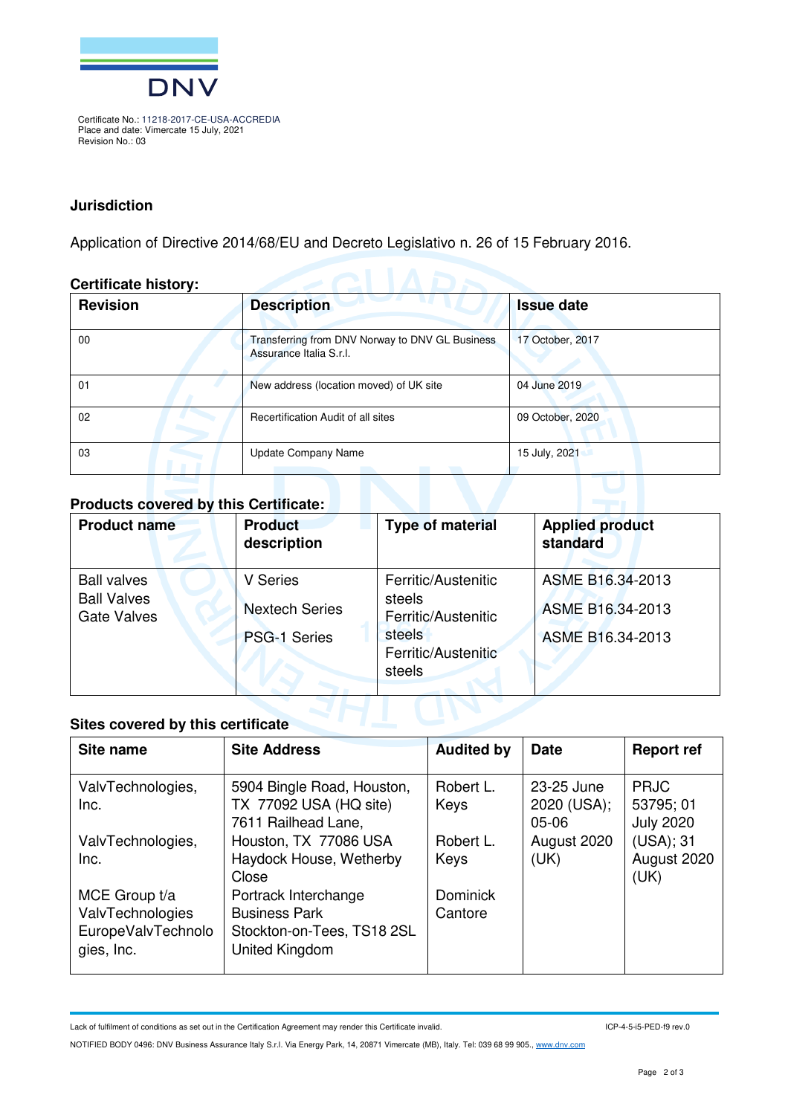

Certificate No.: 11218-2017-CE-USA-ACCREDIA Place and date: Vimercate 15 July, 2021 Revision No.: 03

#### **Jurisdiction**

Application of Directive 2014/68/EU and Decreto Legislativo n. 26 of 15 February 2016.

#### **Certificate history:**

| <b>Revision</b> | <b>Description</b>                                                         | <b>Issue date</b> |  |
|-----------------|----------------------------------------------------------------------------|-------------------|--|
| 00              | Transferring from DNV Norway to DNV GL Business<br>Assurance Italia S.r.I. | 17 October, 2017  |  |
| 01              | New address (location moved) of UK site                                    | 04 June 2019      |  |
| 02              | Recertification Audit of all sites                                         | 09 October, 2020  |  |
| 03              | <b>Update Company Name</b>                                                 | 15 July, 2021     |  |

#### **Products covered by this Certificate:**

| <b>Product name</b>                                            | <b>Product</b><br>description                            | <b>Type of material</b>                                                                         | <b>Applied product</b><br>standard                       |
|----------------------------------------------------------------|----------------------------------------------------------|-------------------------------------------------------------------------------------------------|----------------------------------------------------------|
| <b>Ball valves</b><br><b>Ball Valves</b><br><b>Gate Valves</b> | V Series<br><b>Nextech Series</b><br><b>PSG-1 Series</b> | Ferritic/Austenitic<br>steels<br>Ferritic/Austenitic<br>steels<br>Ferritic/Austenitic<br>steels | ASME B16.34-2013<br>ASME B16.34-2013<br>ASME B16.34-2013 |

### **Sites covered by this certificate**

| Site name                        | <b>Site Address</b>                                                         | <b>Audited by</b> | <b>Date</b>                          | <b>Report ref</b>                            |
|----------------------------------|-----------------------------------------------------------------------------|-------------------|--------------------------------------|----------------------------------------------|
| ValvTechnologies,<br>Inc.        | 5904 Bingle Road, Houston,<br>TX 77092 USA (HQ site)<br>7611 Railhead Lane, | Robert L.<br>Keys | 23-25 June<br>2020 (USA);<br>$05-06$ | <b>PRJC</b><br>53795; 01<br><b>July 2020</b> |
| ValvTechnologies,                | Houston, TX 77086 USA                                                       | Robert L.         | August 2020                          | (USA); 31                                    |
| Inc.                             | Haydock House, Wetherby<br>Close                                            | Keys              | (UK)                                 | August 2020<br>(UK)                          |
| MCE Group t/a                    | Portrack Interchange                                                        | Dominick          |                                      |                                              |
| ValvTechnologies                 | <b>Business Park</b>                                                        | Cantore           |                                      |                                              |
| EuropeValvTechnolo<br>gies, Inc. | Stockton-on-Tees, TS18 2SL<br>United Kingdom                                |                   |                                      |                                              |

Lack of fulfilment of conditions as set out in the Certification Agreement may render this Certificate invalid.

ICP-4-5-i5-PED-f9 rev.0

NOTIFIED BODY 0496: DNV Business Assurance Italy S.r.l. Via Energy Park, 14, 20871 Vimercate (MB), Italy. Tel: 039 68 99 905., www.dnv.com